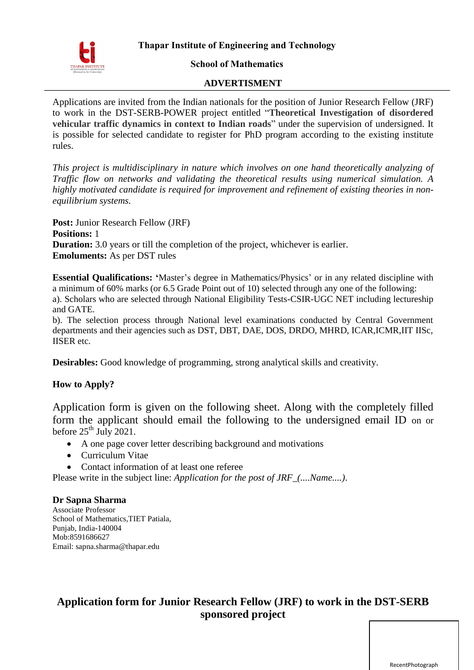#### **School of Mathematics**

#### **ADVERTISMENT**

Applications are invited from the Indian nationals for the position of Junior Research Fellow (JRF) to work in the DST-SERB-POWER project entitled "**Theoretical Investigation of disordered vehicular traffic dynamics in context to Indian roads**" under the supervision of undersigned. It is possible for selected candidate to register for PhD program according to the existing institute rules.

*This project is multidisciplinary in nature which involves on one hand theoretically analyzing of Traffic flow on networks and validating the theoretical results using numerical simulation. A highly motivated candidate is required for improvement and refinement of existing theories in nonequilibrium systems.*

**Post:** Junior Research Fellow (JRF) **Positions:** 1 **Duration:** 3.0 years or till the completion of the project, whichever is earlier. **Emoluments:** As per DST rules

**Essential Qualifications: '**Master's degree in Mathematics/Physics' or in any related discipline with a minimum of 60% marks (or 6.5 Grade Point out of 10) selected through any one of the following: a). Scholars who are selected through National Eligibility Tests-CSIR-UGC NET including lectureship and GATE.

b). The selection process through National level examinations conducted by Central Government departments and their agencies such as DST, DBT, DAE, DOS, DRDO, MHRD, ICAR,ICMR,IIT IISc, IISER etc.

**Desirables:** Good knowledge of programming, strong analytical skills and creativity.

## **How to Apply?**

Application form is given on the following sheet. Along with the completely filled form the applicant should email the following to the undersigned email ID on or before  $25^{th}$  July 2021.

- A one page cover letter describing background and motivations
- Curriculum Vitae
- Contact information of at least one referee

Please write in the subject line: *Application for the post of JRF\_(....Name....)*.

#### **Dr Sapna Sharma**

Associate Professor School of Mathematics,TIET Patiala, Punjab, India-140004 Mob:8591686627 Email: sapna.sharma@thapar.edu

# **Application form for Junior Research Fellow (JRF) to work in the DST-SERB sponsored project**

RecentPhotograph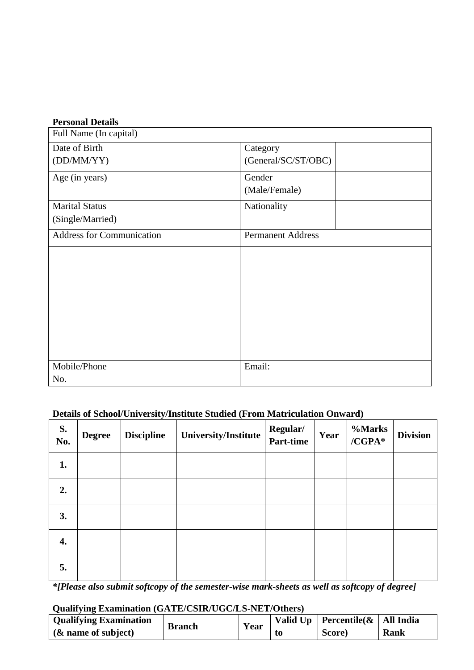# **Personal Details**

| Full Name (In capital)           |                          |
|----------------------------------|--------------------------|
| Date of Birth                    | Category                 |
| (DD/MM/YY)                       | (General/SC/ST/OBC)      |
| Age (in years)                   | Gender                   |
|                                  | (Male/Female)            |
| <b>Marital Status</b>            | Nationality              |
| (Single/Married)                 |                          |
| <b>Address for Communication</b> | <b>Permanent Address</b> |
|                                  |                          |
|                                  |                          |
|                                  |                          |
|                                  |                          |
|                                  |                          |
|                                  |                          |
|                                  |                          |
|                                  |                          |
| Mobile/Phone                     | Email:                   |
| No.                              |                          |

# **Details of School/University/Institute Studied (From Matriculation Onward)**

| S.<br>No. | <b>Degree</b> | <b>Discipline</b> | University/Institute | Regular/<br>Part-time | Year | %Marks<br>$/CGPA*$ | <b>Division</b> |
|-----------|---------------|-------------------|----------------------|-----------------------|------|--------------------|-----------------|
| 1.        |               |                   |                      |                       |      |                    |                 |
| 2.        |               |                   |                      |                       |      |                    |                 |
| 3.        |               |                   |                      |                       |      |                    |                 |
| 4.        |               |                   |                      |                       |      |                    |                 |
| 5.        |               |                   |                      |                       |      |                    |                 |

*\*[Please also submit softcopy of the semester-wise mark-sheets as well as softcopy of degree]*

# **Qualifying Examination (GATE/CSIR/UGC/LS-NET/Others)**

| <b>Vualitying Examination (GATE/CSIN/COC/LS-RET/Others)</b> |               |      |  |                                         |      |
|-------------------------------------------------------------|---------------|------|--|-----------------------------------------|------|
| <b>Qualifying Examination</b>                               | <b>Branch</b> | Year |  | Valid Up   Percentile( $\&$   All India |      |
| $\&$ name of subject)                                       |               |      |  | Score)                                  | Rank |